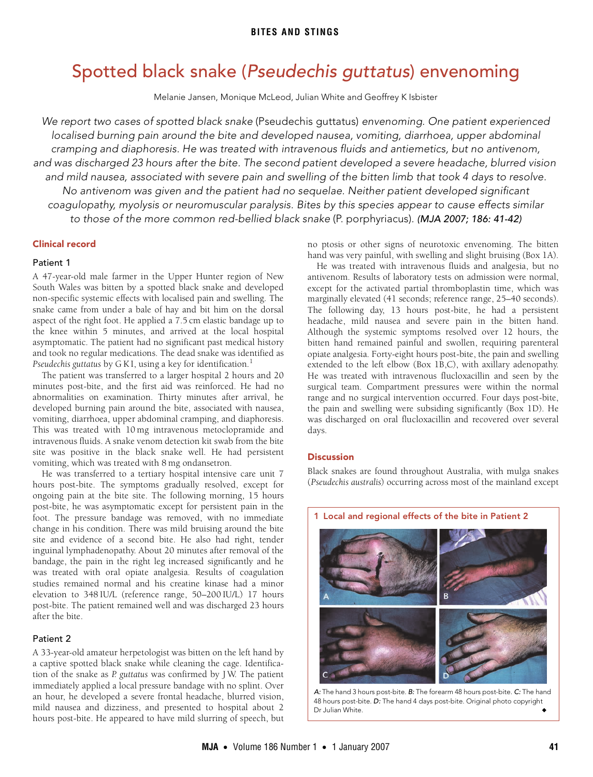# <span id="page-0-0"></span>Spotted black snake (Pseudechis guttatus) envenoming

Melanie Jansen, Monique McLeod, Julian White and Geoffrey K Isbister

We report two cases of spotted black snake (Pseudechis guttatus) envenoming. One patient experienced localised burning pain around the bite and developed nausea, vomiting, diarrhoea, upper abdominal cramping and diaphoresis. He was treated with intravenous fluids and antiemetics, but no antivenom, and was discharged 23 hours after the bite. The second patient developed a severe headache, blurred vision and mild nausea, associated with severe pain and swelling of the bitten limb that took 4 days to resolve. No antivenom was given and the patient had no sequelae. Neither patient developed significant coagulopathy, myolysis or neuromuscular paralysis. Bites by this species appear to cause effects similar to those of the more common red-bellied black snake (P. porphyriacus). (MJA 2007; 186: [41](#page-0-0)[-42\)](#page-1-1)

## Clinical record **2007**

#### ©The Medical Journal of Australia 2007 Patient 1

A 47-year-old male farmer in the Upper Hunter region of New South Wales was bitten by a spotted black snake and developed non-specific systemic effects with localised pain and swelling. The snake came from under a bale of hay and bit him on the dorsal aspect of the right foot. He applied a 7.5 cm elastic bandage up to the knee within 5 minutes, and arrived at the local hospital asymptomatic. The patient had no significant past medical history and took no regular medications. The dead snake was identified as Pseudechis guttatus by G K I, using a key for identification.<sup>[1](#page-1-0)</sup>

The patient was transferred to a larger hospital 2 hours and 20 minutes post-bite, and the first aid was reinforced. He had no abnormalities on examination. Thirty minutes after arrival, he developed burning pain around the bite, associated with nausea, vomiting, diarrhoea, upper abdominal cramping, and diaphoresis. This was treated with 10 mg intravenous metoclopramide and intravenous fluids. A snake venom detection kit swab from the bite site was positive in the black snake well. He had persistent vomiting, which was treated with 8 mg ondansetron.

He was transferred to a tertiary hospital intensive care unit 7 hours post-bite. The symptoms gradually resolved, except for ongoing pain at the bite site. The following morning, 15 hours post-bite, he was asymptomatic except for persistent pain in the foot. The pressure bandage was removed, with no immediate change in his condition. There was mild bruising around the bite site and evidence of a second bite. He also had right, tender inguinal lymphadenopathy. About 20 minutes after removal of the bandage, the pain in the right leg increased significantly and he was treated with oral opiate analgesia. Results of coagulation studies remained normal and his creatine kinase had a minor elevation to 348 IU/L (reference range, 50–200 IU/L) 17 hours post-bite. The patient remained well and was discharged 23 hours after the bite.

## Patient 2

A 33-year-old amateur herpetologist was bitten on the left hand by a captive spotted black snake while cleaning the cage. Identification of the snake as *P. guttatus* was confirmed by J W. The patient immediately applied a local pressure bandage with no splint. Over an hour, he developed a severe frontal headache, blurred vision, mild nausea and dizziness, and presented to hospital about 2 hours post-bite. He appeared to have mild slurring of speech, but

no ptosis or other signs of neurotoxic envenoming. The bitten hand was very painful, with swelling and slight bruising ([Box 1A](#page-0-1)).

He was treated with intravenous fluids and analgesia, but no antivenom. Results of laboratory tests on admission were normal, except for the activated partial thromboplastin time, which was marginally elevated (41 seconds; reference range, 25–40 seconds). The following day, 13 hours post-bite, he had a persistent headache, mild nausea and severe pain in the bitten hand. Although the systemic symptoms resolved over 12 hours, the bitten hand remained painful and swollen, requiring parenteral opiate analgesia. Forty-eight hours post-bite, the pain and swelling extended to the left elbow [\(Box 1B](#page-0-1),C), with axillary adenopathy. He was treated with intravenous flucloxacillin and seen by the surgical team. Compartment pressures were within the normal range and no surgical intervention occurred. Four days post-bite, the pain and swelling were subsiding significantly [\(Box 1](#page-0-1)D). He was discharged on oral flucloxacillin and recovered over several days.

# Discussion

Black snakes are found throughout Australia, with mulga snakes (*Pseudechis australis*) occurring across most of the mainland except

<span id="page-0-1"></span>

A: The hand 3 hours post-bite. B: The forearm 48 hours post-bite. C: The hand 48 hours post-bite. D: The hand 4 days post-bite. Original photo copyright Dr Julian White.